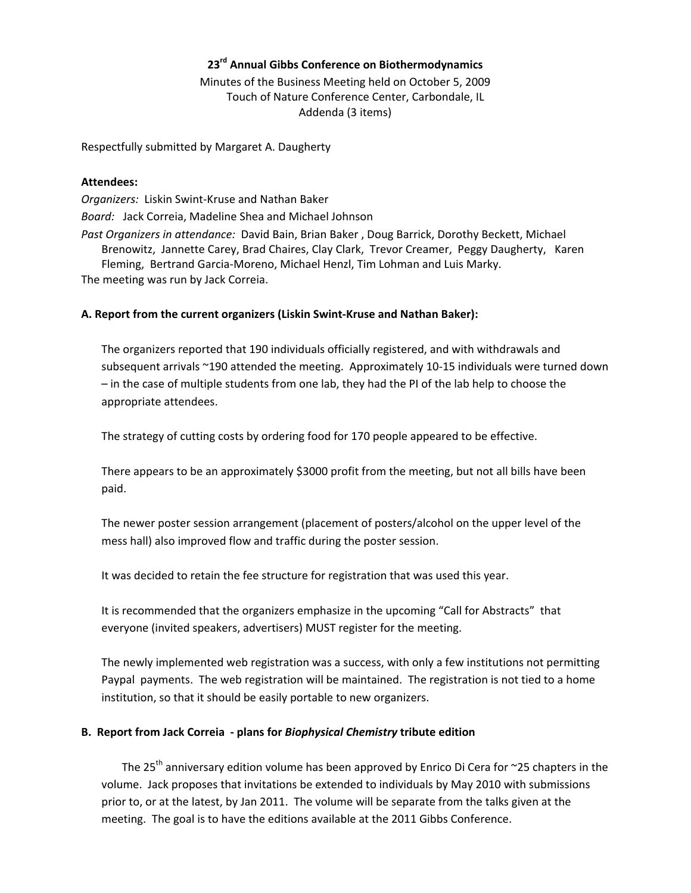## **23rd Annual Gibbs Conference on Biothermodynamics**

Minutes of the Business Meeting held on October 5, 2009 Touch of Nature Conference Center, Carbondale, IL Addenda (3 items)

Respectfully submitted by Margaret A. Daugherty

#### **Attendees:**

*Organizers:* Liskin Swint‐Kruse and Nathan Baker *Board:* Jack Correia, Madeline Shea and Michael Johnson *Past Organizers in attendance:* David Bain, Brian Baker , Doug Barrick, Dorothy Beckett, Michael Brenowitz, Jannette Carey, Brad Chaires, Clay Clark, Trevor Creamer, Peggy Daugherty, Karen Fleming, Bertrand Garcia‐Moreno, Michael Henzl, Tim Lohman and Luis Marky. The meeting was run by Jack Correia.

## **A. Report from the current organizers (Liskin Swint‐Kruse and Nathan Baker):**

The organizers reported that 190 individuals officially registered, and with withdrawals and subsequent arrivals ~190 attended the meeting. Approximately 10‐15 individuals were turned down – in the case of multiple students from one lab, they had the PI of the lab help to choose the appropriate attendees.

The strategy of cutting costs by ordering food for 170 people appeared to be effective.

There appears to be an approximately \$3000 profit from the meeting, but not all bills have been paid.

The newer poster session arrangement (placement of posters/alcohol on the upper level of the mess hall) also improved flow and traffic during the poster session.

It was decided to retain the fee structure for registration that was used this year.

It is recommended that the organizers emphasize in the upcoming "Call for Abstracts" that everyone (invited speakers, advertisers) MUST register for the meeting.

The newly implemented web registration was a success, with only a few institutions not permitting Paypal payments. The web registration will be maintained. The registration is not tied to a home institution, so that it should be easily portable to new organizers.

## **B. Report from Jack Correia ‐ plans for** *Biophysical Chemistry* **tribute edition**

The 25<sup>th</sup> anniversary edition volume has been approved by Enrico Di Cera for  $\sim$ 25 chapters in the volume. Jack proposes that invitations be extended to individuals by May 2010 with submissions prior to, or at the latest, by Jan 2011. The volume will be separate from the talks given at the meeting. The goal is to have the editions available at the 2011 Gibbs Conference.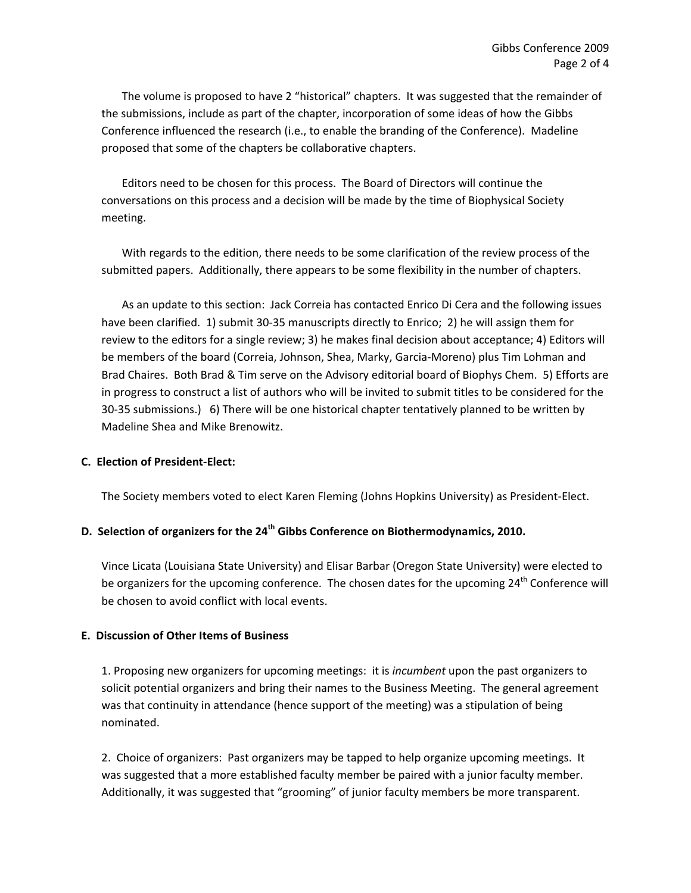The volume is proposed to have 2 "historical" chapters. It was suggested that the remainder of the submissions, include as part of the chapter, incorporation of some ideas of how the Gibbs Conference influenced the research (i.e., to enable the branding of the Conference). Madeline proposed that some of the chapters be collaborative chapters.

Editors need to be chosen for this process. The Board of Directors will continue the conversations on this process and a decision will be made by the time of Biophysical Society meeting.

With regards to the edition, there needs to be some clarification of the review process of the submitted papers. Additionally, there appears to be some flexibility in the number of chapters.

As an update to this section: Jack Correia has contacted Enrico Di Cera and the following issues have been clarified. 1) submit 30-35 manuscripts directly to Enrico; 2) he will assign them for review to the editors for a single review; 3) he makes final decision about acceptance; 4) Editors will be members of the board (Correia, Johnson, Shea, Marky, Garcia‐Moreno) plus Tim Lohman and Brad Chaires. Both Brad & Tim serve on the Advisory editorial board of Biophys Chem. 5) Efforts are in progress to construct a list of authors who will be invited to submit titles to be considered for the 30‐35 submissions.) 6) There will be one historical chapter tentatively planned to be written by Madeline Shea and Mike Brenowitz.

## **C. Election of President‐Elect:**

The Society members voted to elect Karen Fleming (Johns Hopkins University) as President‐Elect.

# **D. Selection of organizers for the 24th Gibbs Conference on Biothermodynamics, 2010.**

Vince Licata (Louisiana State University) and Elisar Barbar (Oregon State University) were elected to be organizers for the upcoming conference. The chosen dates for the upcoming  $24<sup>th</sup>$  Conference will be chosen to avoid conflict with local events.

## **E. Discussion of Other Items of Business**

1. Proposing new organizers for upcoming meetings: it is *incumbent* upon the past organizers to solicit potential organizers and bring their names to the Business Meeting. The general agreement was that continuity in attendance (hence support of the meeting) was a stipulation of being nominated.

2. Choice of organizers: Past organizers may be tapped to help organize upcoming meetings. It was suggested that a more established faculty member be paired with a junior faculty member. Additionally, it was suggested that "grooming" of junior faculty members be more transparent.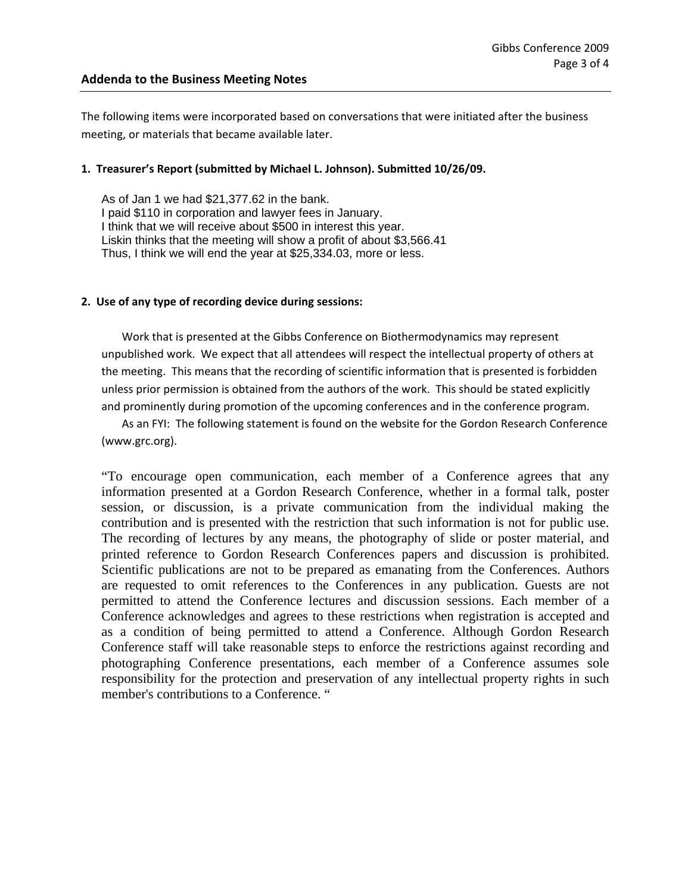## **Addenda to the Business Meeting Notes**

The following items were incorporated based on conversations that were initiated after the business meeting, or materials that became available later.

#### **1. Treasurer's Report (submitted by Michael L. Johnson). Submitted 10/26/09.**

As of Jan 1 we had \$21,377.62 in the bank. I paid \$110 in corporation and lawyer fees in January. I think that we will receive about \$500 in interest this year. Liskin thinks that the meeting will show a profit of about \$3,566.41 Thus, I think we will end the year at \$25,334.03, more or less.

#### **2. Use of any type of recording device during sessions:**

Work that is presented at the Gibbs Conference on Biothermodynamics may represent unpublished work. We expect that all attendees will respect the intellectual property of others at the meeting. This means that the recording of scientific information that is presented is forbidden unless prior permission is obtained from the authors of the work. This should be stated explicitly and prominently during promotion of the upcoming conferences and in the conference program.

As an FYI: The following statement is found on the website for the Gordon Research Conference (www.grc.org).

"To encourage open communication, each member of a Conference agrees that any information presented at a Gordon Research Conference, whether in a formal talk, poster session, or discussion, is a private communication from the individual making the contribution and is presented with the restriction that such information is not for public use. The recording of lectures by any means, the photography of slide or poster material, and printed reference to Gordon Research Conferences papers and discussion is prohibited. Scientific publications are not to be prepared as emanating from the Conferences. Authors are requested to omit references to the Conferences in any publication. Guests are not permitted to attend the Conference lectures and discussion sessions. Each member of a Conference acknowledges and agrees to these restrictions when registration is accepted and as a condition of being permitted to attend a Conference. Although Gordon Research Conference staff will take reasonable steps to enforce the restrictions against recording and photographing Conference presentations, each member of a Conference assumes sole responsibility for the protection and preservation of any intellectual property rights in such member's contributions to a Conference. "